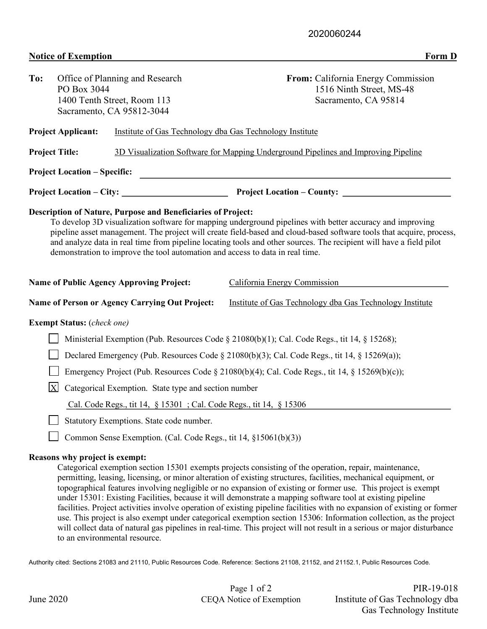## **Notice of Exemption** Form D

| To:                                                                                                                                                                                                                                                                                                                                                                                                                                                                                                       | PO Box 3044                                                                                    | Office of Planning and Research                                 | From: California Energy Commission<br>1516 Ninth Street, MS-48                                                       |  |  |  |  |  |  |
|-----------------------------------------------------------------------------------------------------------------------------------------------------------------------------------------------------------------------------------------------------------------------------------------------------------------------------------------------------------------------------------------------------------------------------------------------------------------------------------------------------------|------------------------------------------------------------------------------------------------|-----------------------------------------------------------------|----------------------------------------------------------------------------------------------------------------------|--|--|--|--|--|--|
|                                                                                                                                                                                                                                                                                                                                                                                                                                                                                                           | 1400 Tenth Street, Room 113<br>Sacramento, CA 95812-3044                                       |                                                                 | Sacramento, CA 95814                                                                                                 |  |  |  |  |  |  |
|                                                                                                                                                                                                                                                                                                                                                                                                                                                                                                           | <b>Project Applicant:</b>                                                                      | Institute of Gas Technology dba Gas Technology Institute        |                                                                                                                      |  |  |  |  |  |  |
| <b>Project Title:</b>                                                                                                                                                                                                                                                                                                                                                                                                                                                                                     |                                                                                                |                                                                 | 3D Visualization Software for Mapping Underground Pipelines and Improving Pipeline                                   |  |  |  |  |  |  |
|                                                                                                                                                                                                                                                                                                                                                                                                                                                                                                           | <b>Project Location – Specific:</b>                                                            |                                                                 | <u> Alexandria de la contrada de la contrada de la contrada de la contrada de la contrada de la contrada de la c</u> |  |  |  |  |  |  |
| Project Location – City: Project Location – County:                                                                                                                                                                                                                                                                                                                                                                                                                                                       |                                                                                                |                                                                 |                                                                                                                      |  |  |  |  |  |  |
| Description of Nature, Purpose and Beneficiaries of Project:<br>To develop 3D visualization software for mapping underground pipelines with better accuracy and improving<br>pipeline asset management. The project will create field-based and cloud-based software tools that acquire, process,<br>and analyze data in real time from pipeline locating tools and other sources. The recipient will have a field pilot<br>demonstration to improve the tool automation and access to data in real time. |                                                                                                |                                                                 |                                                                                                                      |  |  |  |  |  |  |
|                                                                                                                                                                                                                                                                                                                                                                                                                                                                                                           |                                                                                                | <b>Name of Public Agency Approving Project:</b>                 | California Energy Commission                                                                                         |  |  |  |  |  |  |
|                                                                                                                                                                                                                                                                                                                                                                                                                                                                                                           |                                                                                                | Name of Person or Agency Carrying Out Project:                  | Institute of Gas Technology dba Gas Technology Institute                                                             |  |  |  |  |  |  |
|                                                                                                                                                                                                                                                                                                                                                                                                                                                                                                           | <b>Exempt Status:</b> (check one)                                                              |                                                                 |                                                                                                                      |  |  |  |  |  |  |
|                                                                                                                                                                                                                                                                                                                                                                                                                                                                                                           | Ministerial Exemption (Pub. Resources Code § 21080(b)(1); Cal. Code Regs., tit 14, § 15268);   |                                                                 |                                                                                                                      |  |  |  |  |  |  |
|                                                                                                                                                                                                                                                                                                                                                                                                                                                                                                           | Declared Emergency (Pub. Resources Code § 21080(b)(3); Cal. Code Regs., tit 14, § 15269(a));   |                                                                 |                                                                                                                      |  |  |  |  |  |  |
|                                                                                                                                                                                                                                                                                                                                                                                                                                                                                                           | Emergency Project (Pub. Resources Code § 21080(b)(4); Cal. Code Regs., tit 14, § 15269(b)(c)); |                                                                 |                                                                                                                      |  |  |  |  |  |  |
| $\vert$ X $\vert$                                                                                                                                                                                                                                                                                                                                                                                                                                                                                         |                                                                                                | Categorical Exemption. State type and section number            |                                                                                                                      |  |  |  |  |  |  |
|                                                                                                                                                                                                                                                                                                                                                                                                                                                                                                           | Cal. Code Regs., tit 14, § 15301; Cal. Code Regs., tit 14, § 15306                             |                                                                 |                                                                                                                      |  |  |  |  |  |  |
|                                                                                                                                                                                                                                                                                                                                                                                                                                                                                                           |                                                                                                | Statutory Exemptions. State code number.                        |                                                                                                                      |  |  |  |  |  |  |
|                                                                                                                                                                                                                                                                                                                                                                                                                                                                                                           |                                                                                                | Common Sense Exemption. (Cal. Code Regs., tit 14, §15061(b)(3)) |                                                                                                                      |  |  |  |  |  |  |
|                                                                                                                                                                                                                                                                                                                                                                                                                                                                                                           | Reasons why project is exempt:                                                                 |                                                                 | Categorical exemption section 15301 exempts projects consisting of the operation, repair, maintenance,               |  |  |  |  |  |  |

permitting, leasing, licensing, or minor alteration of existing structures, facilities, mechanical equipment, or topographical features involving negligible or no expansion of existing or former use. This project is exempt under 15301: Existing Facilities, because it will demonstrate a mapping software tool at existing pipeline facilities. Project activities involve operation of existing pipeline facilities with no expansion of existing or former use. This project is also exempt under categorical exemption section 15306: Information collection, as the project will collect data of natural gas pipelines in real-time. This project will not result in a serious or major disturbance to an environmental resource.

Authority cited: Sections 21083 and 21110, Public Resources Code. Reference: Sections 21108, 21152, and 21152.1, Public Resources Code.